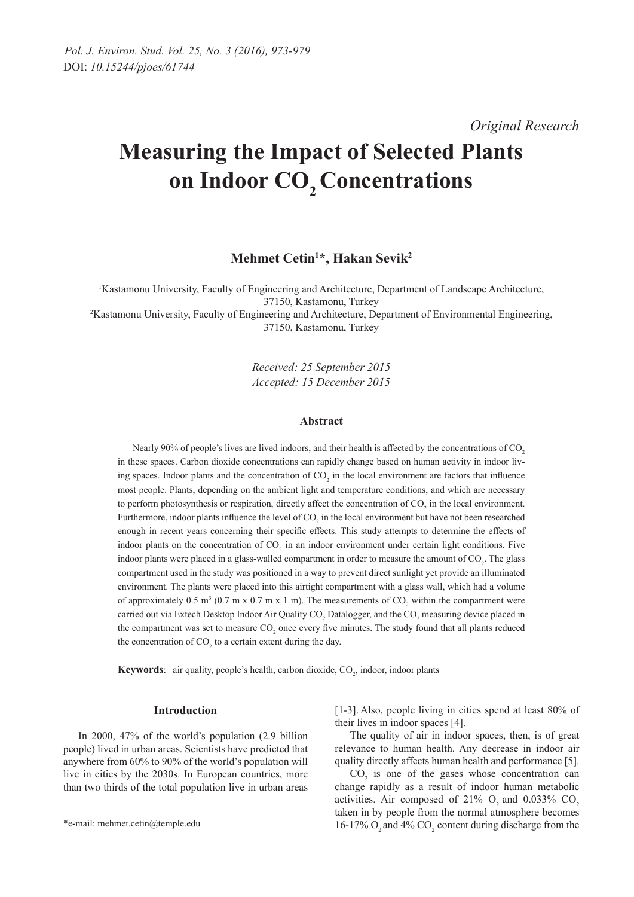*Original Research* 

# **Measuring the Impact of Selected Plants**  on Indoor CO<sub>2</sub> Concentrations

**Mehmet Cetin1 \*, Hakan Sevik2**

1 Kastamonu University, Faculty of Engineering and Architecture, Department of Landscape Architecture, 37150, Kastamonu, Turkey

2 Kastamonu University, Faculty of Engineering and Architecture, Department of Environmental Engineering, 37150, Kastamonu, Turkey

> *Received: 25 September 2015 Accepted: 15 December 2015*

## **Abstract**

Nearly 90% of people's lives are lived indoors, and their health is affected by the concentrations of CO<sub>2</sub> in these spaces. Carbon dioxide concentrations can rapidly change based on human activity in indoor living spaces. Indoor plants and the concentration of  $CO<sub>2</sub>$  in the local environment are factors that influence most people. Plants, depending on the ambient light and temperature conditions, and which are necessary to perform photosynthesis or respiration, directly affect the concentration of  $CO_2$  in the local environment. Furthermore, indoor plants influence the level of  $CO<sub>2</sub>$  in the local environment but have not been researched enough in recent years concerning their specifi c effects. This study attempts to determine the effects of indoor plants on the concentration of  $CO_2$  in an indoor environment under certain light conditions. Five indoor plants were placed in a glass-walled compartment in order to measure the amount of  $CO<sub>2</sub>$ . The glass compartment used in the study was positioned in a way to prevent direct sunlight yet provide an illuminated environment. The plants were placed into this airtight compartment with a glass wall, which had a volume of approximately 0.5 m<sup>3</sup> (0.7 m x 0.7 m x 1 m). The measurements of  $CO_2$  within the compartment were carried out via Extech Desktop Indoor Air Quality  $CO_2$  Datalogger, and the  $CO_2$  measuring device placed in the compartment was set to measure  $CO_2$  once every five minutes. The study found that all plants reduced the concentration of  $CO<sub>2</sub>$  to a certain extent during the day.

**Keywords**: air quality, people's health, carbon dioxide, CO<sub>2</sub>, indoor, indoor plants

#### **Introduction**

In 2000, 47% of the world's population (2.9 billion people) lived in urban areas. Scientists have predicted that anywhere from 60% to 90% of the world's population will live in cities by the 2030s. In European countries, more than two thirds of the total population live in urban areas [1-3]. Also, people living in cities spend at least 80% of their lives in indoor spaces [4].

The quality of air in indoor spaces, then, is of great relevance to human health. Any decrease in indoor air quality directly affects human health and performance [5].

 $CO<sub>2</sub>$  is one of the gases whose concentration can change rapidly as a result of indoor human metabolic activities. Air composed of  $21\%$  O<sub>2</sub> and  $0.033\%$  CO<sub>2</sub> taken in by people from the normal atmosphere becomes 16-17%  $O_2$  and 4%  $CO_2$  content during discharge from the

<sup>\*</sup>e-mail: mehmet.cetin@temple.edu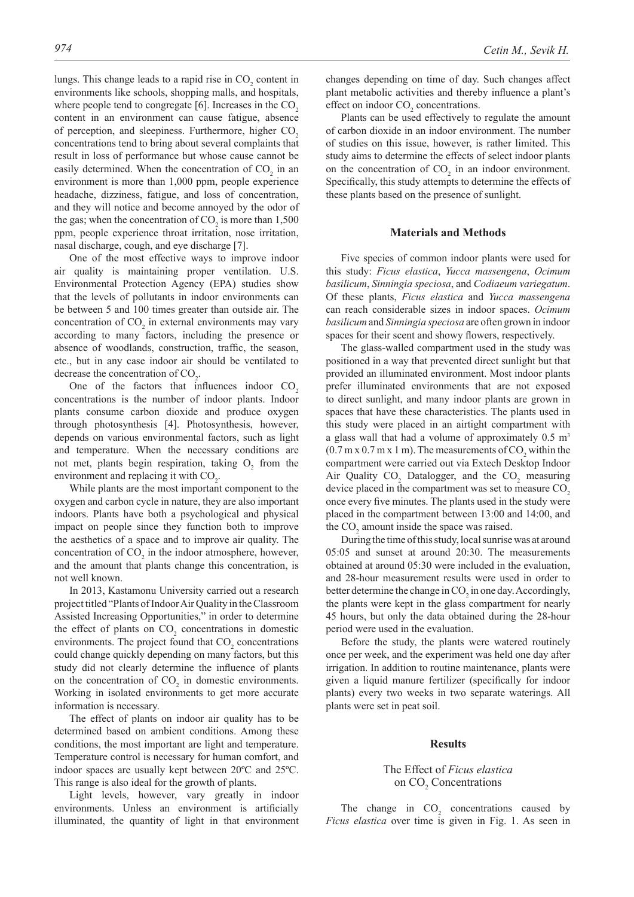lungs. This change leads to a rapid rise in  $CO_2$  content in environments like schools, shopping malls, and hospitals, where people tend to congregate  $[6]$ . Increases in the  $CO<sub>2</sub>$ content in an environment can cause fatigue, absence of perception, and sleepiness. Furthermore, higher CO<sub>2</sub> concentrations tend to bring about several complaints that result in loss of performance but whose cause cannot be easily determined. When the concentration of  $CO<sub>2</sub>$  in an environment is more than 1,000 ppm, people experience headache, dizziness, fatigue, and loss of concentration, and they will notice and become annoyed by the odor of the gas; when the concentration of  $CO_2$  is more than 1,500 ppm, people experience throat irritation, nose irritation, nasal discharge, cough, and eye discharge [7].

One of the most effective ways to improve indoor air quality is maintaining proper ventilation. U.S. Environmental Protection Agency (EPA) studies show that the levels of pollutants in indoor environments can be between 5 and 100 times greater than outside air. The concentration of  $CO<sub>2</sub>$  in external environments may vary according to many factors, including the presence or absence of woodlands, construction, traffic, the season, etc., but in any case indoor air should be ventilated to decrease the concentration of  $CO<sub>2</sub>$ .

One of the factors that influences indoor  $CO<sub>2</sub>$ concentrations is the number of indoor plants. Indoor plants consume carbon dioxide and produce oxygen through photosynthesis [4]. Photosynthesis, however, depends on various environmental factors, such as light and temperature. When the necessary conditions are not met, plants begin respiration, taking  $O_2$  from the environment and replacing it with  $CO<sub>2</sub>$ .

While plants are the most important component to the oxygen and carbon cycle in nature, they are also important indoors. Plants have both a psychological and physical impact on people since they function both to improve the aesthetics of a space and to improve air quality. The concentration of  $CO<sub>2</sub>$  in the indoor atmosphere, however, and the amount that plants change this concentration, is not well known.

In 2013, Kastamonu University carried out a research project titled "Plants of Indoor Air Quality in the Classroom Assisted Increasing Opportunities," in order to determine the effect of plants on  $CO<sub>2</sub>$  concentrations in domestic environments. The project found that  $CO<sub>2</sub>$  concentrations could change quickly depending on many factors, but this study did not clearly determine the influence of plants on the concentration of  $CO<sub>2</sub>$  in domestic environments. Working in isolated environments to get more accurate information is necessary.

The effect of plants on indoor air quality has to be determined based on ambient conditions. Among these conditions, the most important are light and temperature. Temperature control is necessary for human comfort, and indoor spaces are usually kept between 20ºC and 25ºC. This range is also ideal for the growth of plants.

Light levels, however, vary greatly in indoor environments. Unless an environment is artificially illuminated, the quantity of light in that environment changes depending on time of day. Such changes affect plant metabolic activities and thereby influence a plant's effect on indoor  $CO<sub>2</sub>$  concentrations.

Plants can be used effectively to regulate the amount of carbon dioxide in an indoor environment. The number of studies on this issue, however, is rather limited. This study aims to determine the effects of select indoor plants on the concentration of  $CO<sub>2</sub>$  in an indoor environment. Specifically, this study attempts to determine the effects of these plants based on the presence of sunlight.

#### **Materials and Methods**

Five species of common indoor plants were used for this study: *Ficus elastica*, *Yucca massengena*, *Ocimum basilicum*, *Sinningia speciosa*, and *Codiaeum variegatum*. Of these plants, *Ficus elastica* and *Yucca massengena* can reach considerable sizes in indoor spaces. *Ocimum basilicum* and *Sinningia speciosa* are often grown in indoor spaces for their scent and showy flowers, respectively.

The glass-walled compartment used in the study was positioned in a way that prevented direct sunlight but that provided an illuminated environment. Most indoor plants prefer illuminated environments that are not exposed to direct sunlight, and many indoor plants are grown in spaces that have these characteristics. The plants used in this study were placed in an airtight compartment with a glass wall that had a volume of approximately  $0.5 \text{ m}^3$  $(0.7 \text{ m x } 0.7 \text{ m x } 1 \text{ m})$ . The measurements of  $\text{CO}_2$  within the compartment were carried out via Extech Desktop Indoor Air Quality  $CO_2$  Datalogger, and the  $CO_2$  measuring device placed in the compartment was set to measure  $CO<sub>2</sub>$ once every five minutes. The plants used in the study were placed in the compartment between 13:00 and 14:00, and the  $CO<sub>2</sub>$  amount inside the space was raised.

During the time of this study, local sunrise was at around 05:05 and sunset at around 20:30. The measurements obtained at around 05:30 were included in the evaluation, and 28-hour measurement results were used in order to better determine the change in  $CO_2$  in one day. Accordingly, the plants were kept in the glass compartment for nearly 45 hours, but only the data obtained during the 28-hour period were used in the evaluation.

Before the study, the plants were watered routinely once per week, and the experiment was held one day after irrigation. In addition to routine maintenance, plants were given a liquid manure fertilizer (specifically for indoor plants) every two weeks in two separate waterings. All plants were set in peat soil.

#### **Results**

# The Effect of *Ficus elastica* on CO<sub>2</sub> Concentrations

The change in  $CO_2$  concentrations caused by *Ficus elastica* over time is given in Fig. 1. As seen in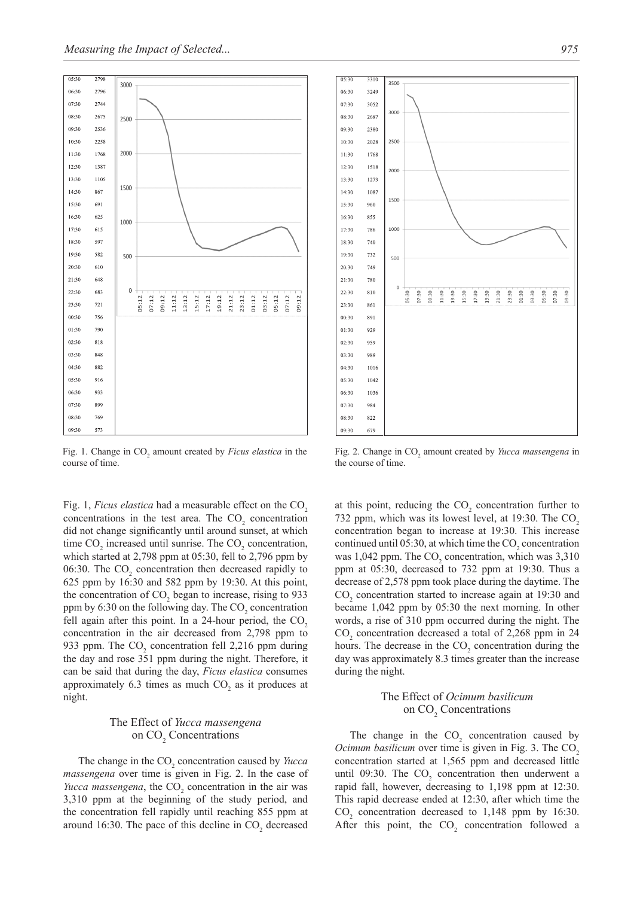

Fig. 1. Change in CO<sub>2</sub> amount created by *Ficus elastica* in the course of time.

Fig. 1, *Ficus elastica* had a measurable effect on the CO<sub>2</sub> concentrations in the test area. The  $CO<sub>2</sub>$  concentration did not change significantly until around sunset, at which time  $CO_2$  increased until sunrise. The  $CO_2$  concentration, which started at 2,798 ppm at 05:30, fell to 2,796 ppm by 06:30. The  $CO<sub>2</sub>$  concentration then decreased rapidly to 625 ppm by 16:30 and 582 ppm by 19:30. At this point, the concentration of  $CO<sub>2</sub>$  began to increase, rising to 933 ppm by 6:30 on the following day. The  $CO_2$  concentration fell again after this point. In a 24-hour period, the  $CO<sub>2</sub>$ concentration in the air decreased from 2,798 ppm to 933 ppm. The  $CO<sub>2</sub>$  concentration fell 2,216 ppm during the day and rose 351 ppm during the night. Therefore, it can be said that during the day, *Ficus elastica* consumes approximately 6.3 times as much  $CO<sub>2</sub>$  as it produces at night.

## The Effect of *Yucca massengena*  on CO<sub>2</sub> Concentrations

The change in the CO<sub>2</sub> concentration caused by *Yucca massengena* over time is given in Fig. 2. In the case of *Yucca massengena*, the  $CO<sub>2</sub>$  concentration in the air was 3,310 ppm at the beginning of the study period, and the concentration fell rapidly until reaching 855 ppm at around 16:30. The pace of this decline in  $CO<sub>2</sub>$  decreased



Fig. 2. Change in CO<sub>2</sub> amount created by *Yucca massengena* in the course of time.

at this point, reducing the  $CO<sub>2</sub>$  concentration further to 732 ppm, which was its lowest level, at 19:30. The CO<sub>2</sub> concentration began to increase at 19:30. This increase continued until 05:30, at which time the  $CO_2$  concentration was  $1,042$  ppm. The  $CO<sub>2</sub>$  concentration, which was  $3,310$ ppm at 05:30, decreased to 732 ppm at 19:30. Thus a decrease of 2,578 ppm took place during the daytime. The  $CO<sub>2</sub>$  concentration started to increase again at 19:30 and became 1,042 ppm by 05:30 the next morning. In other words, a rise of 310 ppm occurred during the night. The  $CO<sub>2</sub>$  concentration decreased a total of 2,268 ppm in 24 hours. The decrease in the  $CO<sub>2</sub>$  concentration during the day was approximately 8.3 times greater than the increase during the night.

# The Effect of *Ocimum basilicum* on CO<sub>2</sub> Concentrations

The change in the  $CO<sub>2</sub>$  concentration caused by *Ocimum basilicum* over time is given in Fig. 3. The CO<sub>2</sub> concentration started at 1,565 ppm and decreased little until 09:30. The  $CO<sub>2</sub>$  concentration then underwent a rapid fall, however, decreasing to 1,198 ppm at 12:30. This rapid decrease ended at 12:30, after which time the  $CO<sub>2</sub>$  concentration decreased to 1,148 ppm by 16:30. After this point, the  $CO<sub>2</sub>$  concentration followed a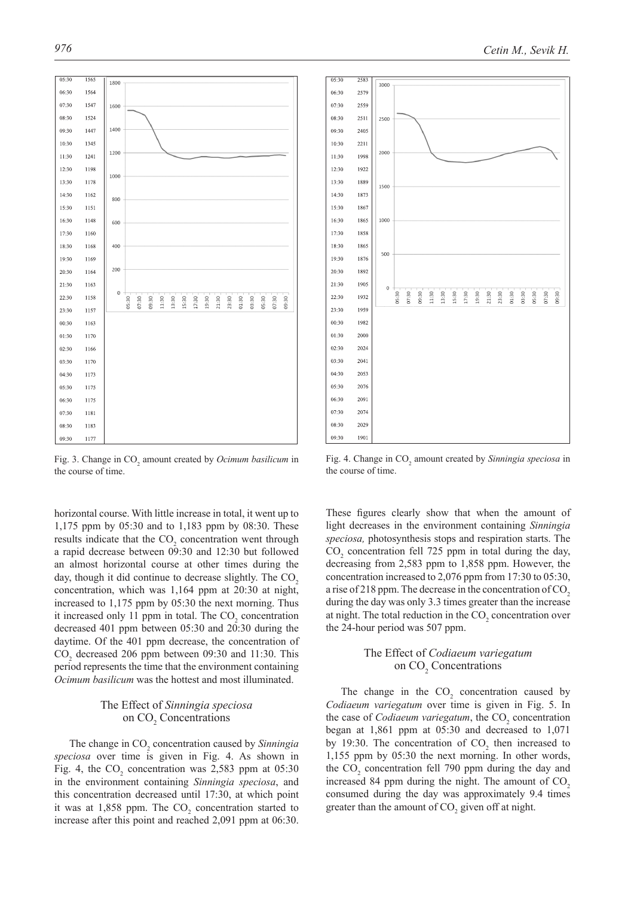$05:30$ 156: 1800  $06:30$ 1564  $07:30$ 1547 1600  $08:30$ 1524 1400  $09:30$ 1440  $10:30$  $1343$ 1200  $11:30$  $1241$  $12-30$ 1198 1000  $13:30$  $1178$  $14:30$ 1162 800  $15:30$ 1151  $16:3($ 1148 600  $17:30$ 1160 18:30 1168 400  $19-30$ 1169  $20:30$ 1164 200  $21:30$  $1163$  $22:30$ 1158 01:30  $05:30$ 06:20  $11:30$ 13:30 17:30 19:30 21:30 23:30 03:30 L5:30 23:30 1157  $00:30$  $1163$  $01:30$ 1170  $02-30$ 1166  $03:30$ 1170 04:30 1173  $05:30$ 1175  $06:30$ 1175 07:30 1181 08:30 1183  $09:30$  $1177$ 

Fig. 3. Change in CO<sub>2</sub> amount created by *Ocimum basilicum* in the course of time.

horizontal course. With little increase in total, it went up to 1,175 ppm by 05:30 and to 1,183 ppm by 08:30. These results indicate that the  $CO<sub>2</sub>$  concentration went through a rapid decrease between 09:30 and 12:30 but followed an almost horizontal course at other times during the day, though it did continue to decrease slightly. The  $CO<sub>2</sub>$ concentration, which was 1,164 ppm at 20:30 at night, increased to 1,175 ppm by 05:30 the next morning. Thus it increased only 11 ppm in total. The  $CO<sub>2</sub>$  concentration decreased 401 ppm between 05:30 and 20:30 during the daytime. Of the 401 ppm decrease, the concentration of  $CO<sub>2</sub>$  decreased 206 ppm between 09:30 and 11:30. This period represents the time that the environment containing *Ocimum basilicum* was the hottest and most illuminated.

# The Effect of *Sinningia speciosa* on CO<sub>2</sub> Concentrations

The change in CO<sub>2</sub> concentration caused by *Sinningia speciosa* over time is given in Fig. 4. As shown in Fig. 4, the  $CO_2$  concentration was 2,583 ppm at 05:30 in the environment containing *Sinningia speciosa*, and this concentration decreased until 17:30, at which point it was at  $1,858$  ppm. The  $CO<sub>2</sub>$  concentration started to increase after this point and reached 2,091 ppm at 06:30.

Fig. 4. Change in CO<sub>2</sub> amount created by *Sinningia speciosa* in the course of time.

These figures clearly show that when the amount of light decreases in the environment containing *Sinningia speciosa,* photosynthesis stops and respiration starts. The  $CO<sub>2</sub>$  concentration fell 725 ppm in total during the day, decreasing from 2,583 ppm to 1,858 ppm. However, the concentration increased to 2,076 ppm from 17:30 to 05:30, a rise of  $218$  ppm. The decrease in the concentration of CO<sub>2</sub> during the day was only 3.3 times greater than the increase at night. The total reduction in the  $CO<sub>2</sub>$  concentration over the 24-hour period was 507 ppm.

# The Effect of *Codiaeum variegatum* on CO<sub>2</sub> Concentrations

The change in the  $CO<sub>2</sub>$  concentration caused by *Codiaeum variegatum* over time is given in Fig. 5. In the case of *Codiaeum variegatum*, the CO<sub>2</sub> concentration began at 1,861 ppm at 05:30 and decreased to 1,071 by 19:30. The concentration of  $CO<sub>2</sub>$  then increased to 1,155 ppm by 05:30 the next morning. In other words, the  $CO_2$  concentration fell 790 ppm during the day and increased 84 ppm during the night. The amount of  $CO<sub>2</sub>$ consumed during the day was approximately 9.4 times greater than the amount of  $CO<sub>2</sub>$  given off at night.

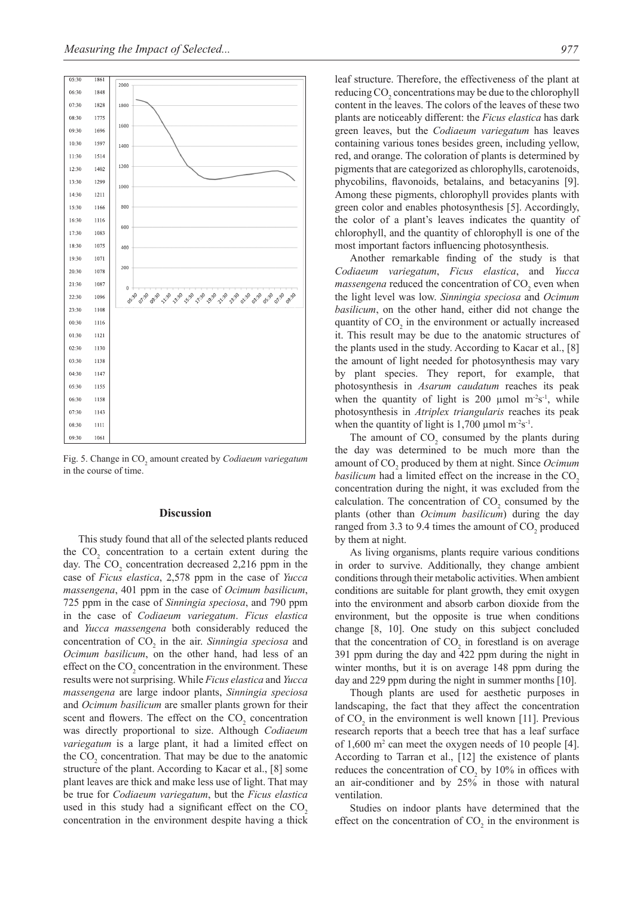

Fig. 5. Change in CO<sub>2</sub> amount created by *Codiaeum variegatum* in the course of time.

#### **Discussion**

This study found that all of the selected plants reduced the  $CO<sub>2</sub>$  concentration to a certain extent during the day. The  $CO_2$  concentration decreased 2,216 ppm in the case of *Ficus elastica*, 2,578 ppm in the case of *Yucca massengena*, 401 ppm in the case of *Ocimum basilicum*, 725 ppm in the case of *Sinningia speciosa*, and 790 ppm in the case of *Codiaeum variegatum*. *Ficus elastica*  and *Yucca massengena* both considerably reduced the concentration of CO<sub>2</sub> in the air. *Sinningia speciosa* and *Ocimum basilicum*, on the other hand, had less of an effect on the  $CO<sub>2</sub>$  concentration in the environment. These results were not surprising. While *Ficus elastica* and *Yucca massengena* are large indoor plants, *Sinningia speciosa* and *Ocimum basilicum* are smaller plants grown for their scent and flowers. The effect on the  $CO<sub>2</sub>$  concentration was directly proportional to size. Although *Codiaeum variegatum* is a large plant, it had a limited effect on the  $CO<sub>2</sub>$  concentration. That may be due to the anatomic structure of the plant. According to Kacar et al., [8] some plant leaves are thick and make less use of light. That may be true for *Codiaeum variegatum*, but the *Ficus elastica*  used in this study had a significant effect on the  $CO<sub>2</sub>$ concentration in the environment despite having a thick

leaf structure. Therefore, the effectiveness of the plant at reducing CO<sub>2</sub> concentrations may be due to the chlorophyll content in the leaves. The colors of the leaves of these two plants are noticeably different: the *Ficus elastica* has dark green leaves, but the *Codiaeum variegatum* has leaves containing various tones besides green, including yellow, red, and orange. The coloration of plants is determined by pigments that are categorized as chlorophylls, carotenoids, phycobilins, flavonoids, betalains, and betacyanins [9]. Among these pigments, chlorophyll provides plants with green color and enables photosynthesis [5]. Accordingly, the color of a plant's leaves indicates the quantity of chlorophyll, and the quantity of chlorophyll is one of the most important factors influencing photosynthesis.

Another remarkable finding of the study is that *Codiaeum variegatum*, *Ficus elastica*, and *Yucca*   $massengena$  reduced the concentration of  $CO<sub>2</sub>$  even when the light level was low. *Sinningia speciosa* and *Ocimum basilicum*, on the other hand, either did not change the quantity of  $CO<sub>2</sub>$  in the environment or actually increased it. This result may be due to the anatomic structures of the plants used in the study. According to Kacar et al., [8] the amount of light needed for photosynthesis may vary by plant species. They report, for example, that photosynthesis in *Asarum caudatum* reaches its peak when the quantity of light is 200  $\mu$ mol m<sup>-2</sup>s<sup>-1</sup>, while photosynthesis in *Atriplex triangularis* reaches its peak when the quantity of light is 1,700  $\mu$ mol m<sup>-2</sup>s<sup>-1</sup>.

The amount of  $CO_2$  consumed by the plants during the day was determined to be much more than the amount of CO<sub>2</sub> produced by them at night. Since *Ocimum basilicum* had a limited effect on the increase in the CO<sub>2</sub> concentration during the night, it was excluded from the calculation. The concentration of  $CO_2$  consumed by the plants (other than *Ocimum basilicum*) during the day ranged from 3.3 to 9.4 times the amount of  $CO_2$  produced by them at night.

As living organisms, plants require various conditions in order to survive. Additionally, they change ambient conditions through their metabolic activities. When ambient conditions are suitable for plant growth, they emit oxygen into the environment and absorb carbon dioxide from the environment, but the opposite is true when conditions change [8, 10]. One study on this subject concluded that the concentration of  $CO<sub>2</sub>$  in forestland is on average 391 ppm during the day and 422 ppm during the night in winter months, but it is on average 148 ppm during the day and 229 ppm during the night in summer months [10].

Though plants are used for aesthetic purposes in landscaping, the fact that they affect the concentration of  $CO<sub>2</sub>$  in the environment is well known [11]. Previous research reports that a beech tree that has a leaf surface of 1,600 m2 can meet the oxygen needs of 10 people [4]. According to Tarran et al., [12] the existence of plants reduces the concentration of  $CO_2$  by 10% in offices with an air-conditioner and by 25% in those with natural ventilation.

Studies on indoor plants have determined that the effect on the concentration of  $CO<sub>2</sub>$  in the environment is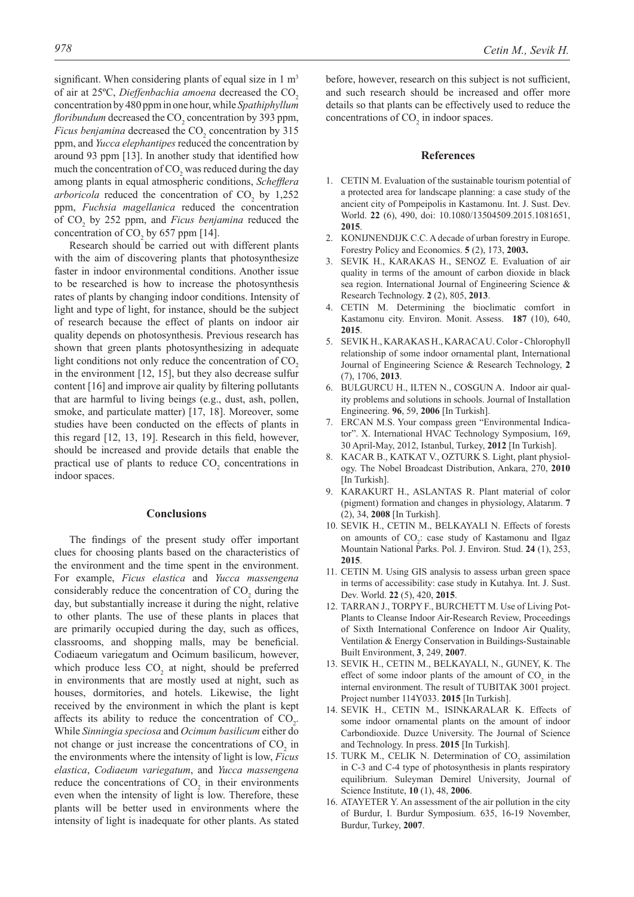significant. When considering plants of equal size in  $1 \text{ m}^3$ of air at 25ºC, *Dieffenbachia amoena* decreased the CO2 concentration by 480 ppm in one hour, while *Spathiphyllum floribundum* decreased the  $CO_2$  concentration by 393 ppm, *Ficus benjamina* decreased the  $CO_2$  concentration by 315 ppm, and *Yucca elephantipes* reduced the concentration by around 93 ppm [13]. In another study that identified how much the concentration of  $CO_2$  was reduced during the day among plants in equal atmospheric conditions, *Schefflera arboricola* reduced the concentration of  $CO<sub>2</sub>$  by 1,252 ppm, *Fuchsia magellanica* reduced the concentration of CO<sub>2</sub> by 252 ppm, and *Ficus benjamina* reduced the concentration of  $CO<sub>2</sub>$  by 657 ppm [14].

Research should be carried out with different plants with the aim of discovering plants that photosynthesize faster in indoor environmental conditions. Another issue to be researched is how to increase the photosynthesis rates of plants by changing indoor conditions. Intensity of light and type of light, for instance, should be the subject of research because the effect of plants on indoor air quality depends on photosynthesis. Previous research has shown that green plants photosynthesizing in adequate light conditions not only reduce the concentration of  $CO<sub>2</sub>$ in the environment [12, 15], but they also decrease sulfur content [16] and improve air quality by filtering pollutants that are harmful to living beings (e.g., dust, ash, pollen, smoke, and particulate matter) [17, 18]. Moreover, some studies have been conducted on the effects of plants in this regard  $[12, 13, 19]$ . Research in this field, however, should be increased and provide details that enable the practical use of plants to reduce  $CO<sub>2</sub>$  concentrations in indoor spaces.

#### **Conclusions**

The findings of the present study offer important clues for choosing plants based on the characteristics of the environment and the time spent in the environment. For example, *Ficus elastica* and *Yucca massengena* considerably reduce the concentration of  $CO<sub>2</sub>$  during the day, but substantially increase it during the night, relative to other plants. The use of these plants in places that are primarily occupied during the day, such as offices, classrooms, and shopping malls, may be beneficial. Codiaeum variegatum and Ocimum basilicum, however, which produce less  $CO<sub>2</sub>$  at night, should be preferred in environments that are mostly used at night, such as houses, dormitories, and hotels. Likewise, the light received by the environment in which the plant is kept affects its ability to reduce the concentration of  $CO<sub>2</sub>$ . While *Sinningia speciosa* and *Ocimum basilicum* either do not change or just increase the concentrations of  $CO<sub>2</sub>$  in the environments where the intensity of light is low, *Ficus elastica*, *Codiaeum variegatum*, and *Yucca massengena* reduce the concentrations of  $CO<sub>2</sub>$  in their environments even when the intensity of light is low. Therefore, these plants will be better used in environments where the intensity of light is inadequate for other plants. As stated

before, however, research on this subject is not sufficient, and such research should be increased and offer more details so that plants can be effectively used to reduce the concentrations of  $CO<sub>2</sub>$  in indoor spaces.

## **References**

- 1. CETIN M. Evaluation of the sustainable tourism potential of a protected area for landscape planning: a case study of the ancient city of Pompeipolis in Kastamonu. Int. J. Sust. Dev. World. **22** (6), 490, doi: 10.1080/13504509.2015.1081651, **2015**.
- 2. KONIJNENDIJK C.C. A decade of urban forestry in Europe. Forestry Policy and Economics. **5** (2), 173, **2003.**
- 3. SEVIK H., KARAKAS H., SENOZ E. Evaluation of air quality in terms of the amount of carbon dioxide in black sea region. International Journal of Engineering Science & Research Technology. **2** (2), 805, **2013**.
- 4. CETIN M. Determining the bioclimatic comfort in Kastamonu city. Environ. Monit. Assess. **187** (10), 640, **2015**.
- 5. SEVIK H., KARAKAS H., KARACA U. Color Chlorophyll relationship of some indoor ornamental plant, International Journal of Engineering Science & Research Technology, **2**  (7), 1706, **2013**.
- 6. BULGURCU H., ILTEN N., COSGUN A. Indoor air quality problems and solutions in schools. Journal of Installation Engineering. **96**, 59, **2006** [In Turkish].
- 7. ERCAN M.S. Your compass green "Environmental Indicator". X. International HVAC Technology Symposium, 169, 30 April-May, 2012, Istanbul, Turkey, **2012** [In Turkish].
- 8. KACAR B., KATKAT V., OZTURK S. Light, plant physiology. The Nobel Broadcast Distribution, Ankara, 270, **2010**  [In Turkish].
- 9. KARAKURT H., ASLANTAS R. Plant material of color (pigment) formation and changes in physiology, Alatarım. **7** (2), 34, **2008** [In Turkish].
- 10. SEVIK H., CETIN M., BELKAYALI N. Effects of forests on amounts of CO<sub>2</sub>: case study of Kastamonu and Ilgaz Mountain National Parks. Pol. J. Environ. Stud. **24** (1), 253, **2015**.
- 11. CETIN M. Using GIS analysis to assess urban green space in terms of accessibility: case study in Kutahya. Int. J. Sust. Dev. World. **22** (5), 420, **2015**.
- 12. TARRAN J., TORPY F., BURCHETT M. Use of Living Pot-Plants to Cleanse Indoor Air-Research Review, Proceedings of Sixth International Conference on Indoor Air Quality, Ventilation & Energy Conservation in Buildings-Sustainable Built Environment, **3**, 249, **2007**.
- 13. SEVIK H., CETIN M., BELKAYALI, N., GUNEY, K. The effect of some indoor plants of the amount of  $CO<sub>2</sub>$  in the internal environment. The result of TUBITAK 3001 project. Project number 114Y033. **2015** [In Turkish].
- 14. SEVIK H., CETIN M., ISINKARALAR K. Effects of some indoor ornamental plants on the amount of indoor Carbondioxide. Duzce University. The Journal of Science and Technology. In press. **2015** [In Turkish].
- 15. TURK M., CELIK N. Determination of  $CO<sub>2</sub>$  assimilation in C-3 and C-4 type of photosynthesis in plants respiratory equilibrium. Suleyman Demirel University, Journal of Science Institute, **10** (1), 48, **2006**.
- 16. ATAYETER Y. An assessment of the air pollution in the city of Burdur, I. Burdur Symposium. 635, 16-19 November, Burdur, Turkey, **2007**.